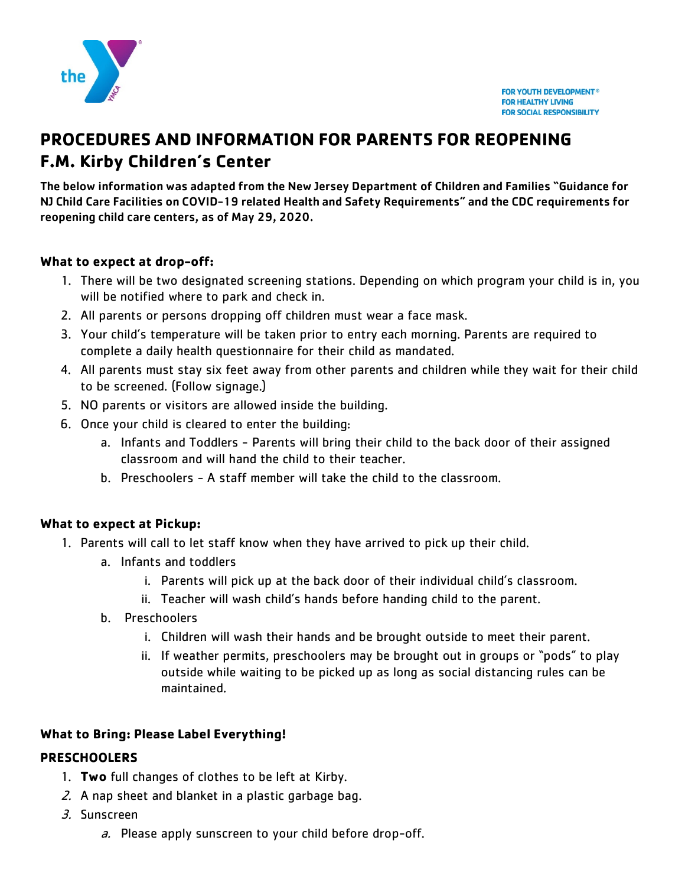

# **PROCEDURES AND INFORMATION FOR PARENTS FOR REOPENING F.M. Kirby Children's Center**

The below information was adapted from the New Jersey Department of Children and Families "Guidance for NJ Child Care Facilities on COVID-19 related Health and Safety Requirements" and the CDC requirements for reopening child care centers, as of May 29, 2020.

### **What to expect at drop-off:**

- 1. There will be two designated screening stations. Depending on which program your child is in, you will be notified where to park and check in.
- 2. All parents or persons dropping off children must wear a face mask.
- 3. Your child's temperature will be taken prior to entry each morning. Parents are required to complete a daily health questionnaire for their child as mandated.
- 4. All parents must stay six feet away from other parents and children while they wait for their child to be screened. (Follow signage.)
- 5. NO parents or visitors are allowed inside the building.
- 6. Once your child is cleared to enter the building:
	- a. Infants and Toddlers Parents will bring their child to the back door of their assigned classroom and will hand the child to their teacher.
	- b. Preschoolers A staff member will take the child to the classroom.

### **What to expect at Pickup:**

- 1. Parents will call to let staff know when they have arrived to pick up their child.
	- a. Infants and toddlers
		- i. Parents will pick up at the back door of their individual child's classroom.
		- ii. Teacher will wash child's hands before handing child to the parent.
	- b. Preschoolers
		- i. Children will wash their hands and be brought outside to meet their parent.
		- ii. If weather permits, preschoolers may be brought out in groups or "pods" to play outside while waiting to be picked up as long as social distancing rules can be maintained.

### **What to Bring: Please Label Everything!**

### **PRESCHOOLERS**

- 1. **Two** full changes of clothes to be left at Kirby.
- 2. A nap sheet and blanket in a plastic garbage bag.
- 3. Sunscreen
	- a. Please apply sunscreen to your child before drop-off.